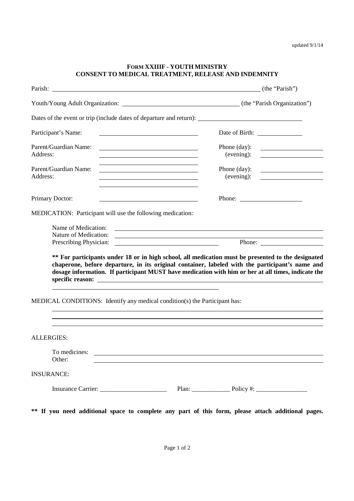## **FORM XXIIIF - YOUTH MINISTRY CONSENT TO MEDICAL TREATMENT, RELEASE AND INDEMNITY**

| Parish: (the "Parish") (the "Parish")                                                                                                                                                                                                                                                                                                                                                                                                             |                                                                                                                                                    |  |
|---------------------------------------------------------------------------------------------------------------------------------------------------------------------------------------------------------------------------------------------------------------------------------------------------------------------------------------------------------------------------------------------------------------------------------------------------|----------------------------------------------------------------------------------------------------------------------------------------------------|--|
|                                                                                                                                                                                                                                                                                                                                                                                                                                                   |                                                                                                                                                    |  |
|                                                                                                                                                                                                                                                                                                                                                                                                                                                   |                                                                                                                                                    |  |
| Participant's Name:                                                                                                                                                                                                                                                                                                                                                                                                                               |                                                                                                                                                    |  |
| Parent/Guardian Name:<br>Address:<br>the contract of the contract of the contract of the contract of the contract of the                                                                                                                                                                                                                                                                                                                          | Phone (day):<br><u> Alexandria de la construcción de la construcción de la construcción de la construcción de la construcción de</u><br>(evening): |  |
| Parent/Guardian Name:<br>Address:<br>the contract of the contract of the contract of the contract of the contract of                                                                                                                                                                                                                                                                                                                              | Phone (day):<br><u> 1989 - Johann Barn, mars ann an t-Amhair ann an t-Amhair an t-Amhair ann an t-Amhair an t-Amhair ann an t-A</u><br>(evening):  |  |
| Primary Doctor:                                                                                                                                                                                                                                                                                                                                                                                                                                   |                                                                                                                                                    |  |
| MEDICATION: Participant will use the following medication:                                                                                                                                                                                                                                                                                                                                                                                        |                                                                                                                                                    |  |
| Nature of Medication:<br>Prescribing Physician:<br><u> 1989 - Johann Stoff, amerikansk politiker (</u> † 1908)<br>** For participants under 18 or in high school, all medication must be presented to the designated<br>chaperone, before departure, in its original container, labeled with the participant's name and<br>dosage information. If participant MUST have medication with him or her at all times, indicate the<br>specific reason: |                                                                                                                                                    |  |
| MEDICAL CONDITIONS: Identify any medical condition(s) the Participant has:                                                                                                                                                                                                                                                                                                                                                                        |                                                                                                                                                    |  |
|                                                                                                                                                                                                                                                                                                                                                                                                                                                   |                                                                                                                                                    |  |
| <b>ALLERGIES:</b>                                                                                                                                                                                                                                                                                                                                                                                                                                 |                                                                                                                                                    |  |
| To medicines:<br><u> 1989 - Johann Harry Harry Harry Harry Harry Harry Harry Harry Harry Harry Harry Harry Harry Harry Harry Harry</u><br>Other:                                                                                                                                                                                                                                                                                                  |                                                                                                                                                    |  |
| <b>INSURANCE:</b>                                                                                                                                                                                                                                                                                                                                                                                                                                 |                                                                                                                                                    |  |
|                                                                                                                                                                                                                                                                                                                                                                                                                                                   |                                                                                                                                                    |  |
| ** If you need additional space to complete any part of this form, please attach additional pages.                                                                                                                                                                                                                                                                                                                                                |                                                                                                                                                    |  |